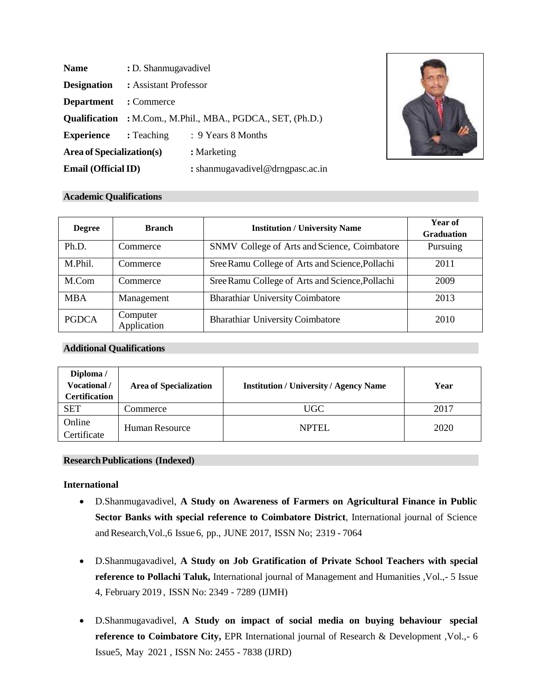| <b>Name</b>                  | : D. Shanmugavadivel                                               |                                  |  |
|------------------------------|--------------------------------------------------------------------|----------------------------------|--|
| <b>Designation</b>           | : Assistant Professor                                              |                                  |  |
| <b>Department</b> : Commerce |                                                                    |                                  |  |
|                              | <b>Qualification</b> : M.Com., M.Phil., MBA., PGDCA., SET, (Ph.D.) |                                  |  |
| <b>Experience</b> : Teaching |                                                                    | : 9 Years 8 Months               |  |
| Area of Specialization(s)    |                                                                    | : Marketing                      |  |
| <b>Email (Official ID)</b>   |                                                                    | : shanmugavadivel@drngpasc.ac.in |  |



#### **Academic Qualifications**

| <b>Degree</b> | <b>Branch</b>           | <b>Institution / University Name</b>            | Year of<br><b>Graduation</b> |
|---------------|-------------------------|-------------------------------------------------|------------------------------|
| Ph.D.         | Commerce                | SNMV College of Arts and Science, Coimbatore    | Pursuing                     |
| M.Phil.       | Commerce                | Sree Ramu College of Arts and Science, Pollachi | 2011                         |
| M.Com         | Commerce                | Sree Ramu College of Arts and Science, Pollachi | 2009                         |
| <b>MBA</b>    | Management              | <b>Bharathiar University Coimbatore</b>         | 2013                         |
| <b>PGDCA</b>  | Computer<br>Application | <b>Bharathiar University Coimbatore</b>         | 2010                         |

### **Additional Qualifications**

| Diploma /<br>Vocational /<br><b>Certification</b> | <b>Area of Specialization</b> | <b>Institution / University / Agency Name</b> | Year |
|---------------------------------------------------|-------------------------------|-----------------------------------------------|------|
| <b>SET</b>                                        | Commerce                      | UGC                                           | 2017 |
| Online<br>Certificate                             | <b>Human Resource</b>         | <b>NPTEL</b>                                  | 2020 |

#### **ResearchPublications (Indexed)**

#### **International**

- D.Shanmugavadivel, **A Study on Awareness of Farmers on Agricultural Finance in Public Sector Banks with special reference to Coimbatore District**, International journal of Science and Research, Vol., 6 Issue 6, pp., JUNE 2017, ISSN No; 2319 - 7064
- D.Shanmugavadivel, **A Study on Job Gratification of Private School Teachers with special reference to Pollachi Taluk,** International journal of Management and Humanities ,Vol.,- 5 Issue 4, February 2019 , ISSN No: 2349 - 7289 (IJMH)
- D.Shanmugavadivel, **A Study on impact of social media on buying behaviour special reference to Coimbatore City,** EPR International journal of Research & Development ,Vol.,- 6 Issue5, May 2021 , ISSN No: 2455 - 7838 (IJRD)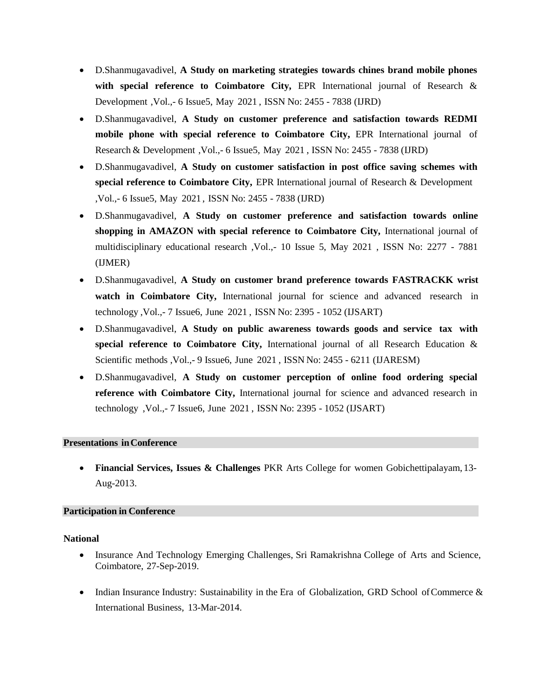- D.Shanmugavadivel, **A Study on marketing strategies towards chines brand mobile phones with special reference to Coimbatore City,** EPR International journal of Research & Development ,Vol.,- 6 Issue5, May 2021 , ISSN No: 2455 - 7838 (IJRD)
- D.Shanmugavadivel, **A Study on customer preference and satisfaction towards REDMI mobile phone with special reference to Coimbatore City,** EPR International journal of Research & Development ,Vol.,- 6 Issue5, May 2021 , ISSN No: 2455 - 7838 (IJRD)
- D.Shanmugavadivel, **A Study on customer satisfaction in post office saving schemes with special reference to Coimbatore City,** EPR International journal of Research & Development ,Vol.,- 6 Issue5, May 2021 , ISSN No: 2455 - 7838 (IJRD)
- D.Shanmugavadivel, **A Study on customer preference and satisfaction towards online shopping in AMAZON with special reference to Coimbatore City,** International journal of multidisciplinary educational research ,Vol.,- 10 Issue 5, May 2021 , ISSN No: 2277 - 7881 (IJMER)
- D.Shanmugavadivel, **A Study on customer brand preference towards FASTRACKK wrist watch in Coimbatore City,** International journal for science and advanced research in technology ,Vol.,- 7 Issue6, June 2021 , ISSN No: 2395 - 1052 (IJSART)
- D.Shanmugavadivel, **A Study on public awareness towards goods and service tax with special reference to Coimbatore City,** International journal of all Research Education & Scientific methods ,Vol.,- 9 Issue6, June 2021 , ISSN No: 2455 - 6211 (IJARESM)
- D.Shanmugavadivel, **A Study on customer perception of online food ordering special reference with Coimbatore City,** International journal for science and advanced research in technology ,Vol.,- 7 Issue6, June 2021 , ISSN No: 2395 - 1052 (IJSART)

# **Presentations inConference**

• **Financial Services, Issues & Challenges** PKR Arts College for women Gobichettipalayam, 13- Aug-2013.

# **Participation in Conference**

#### **National**

- Insurance And Technology Emerging Challenges, Sri Ramakrishna College of Arts and Science, Coimbatore, 27-Sep-2019.
- Indian Insurance Industry: Sustainability in the Era of Globalization, GRD School of Commerce  $\&$ International Business, 13-Mar-2014.